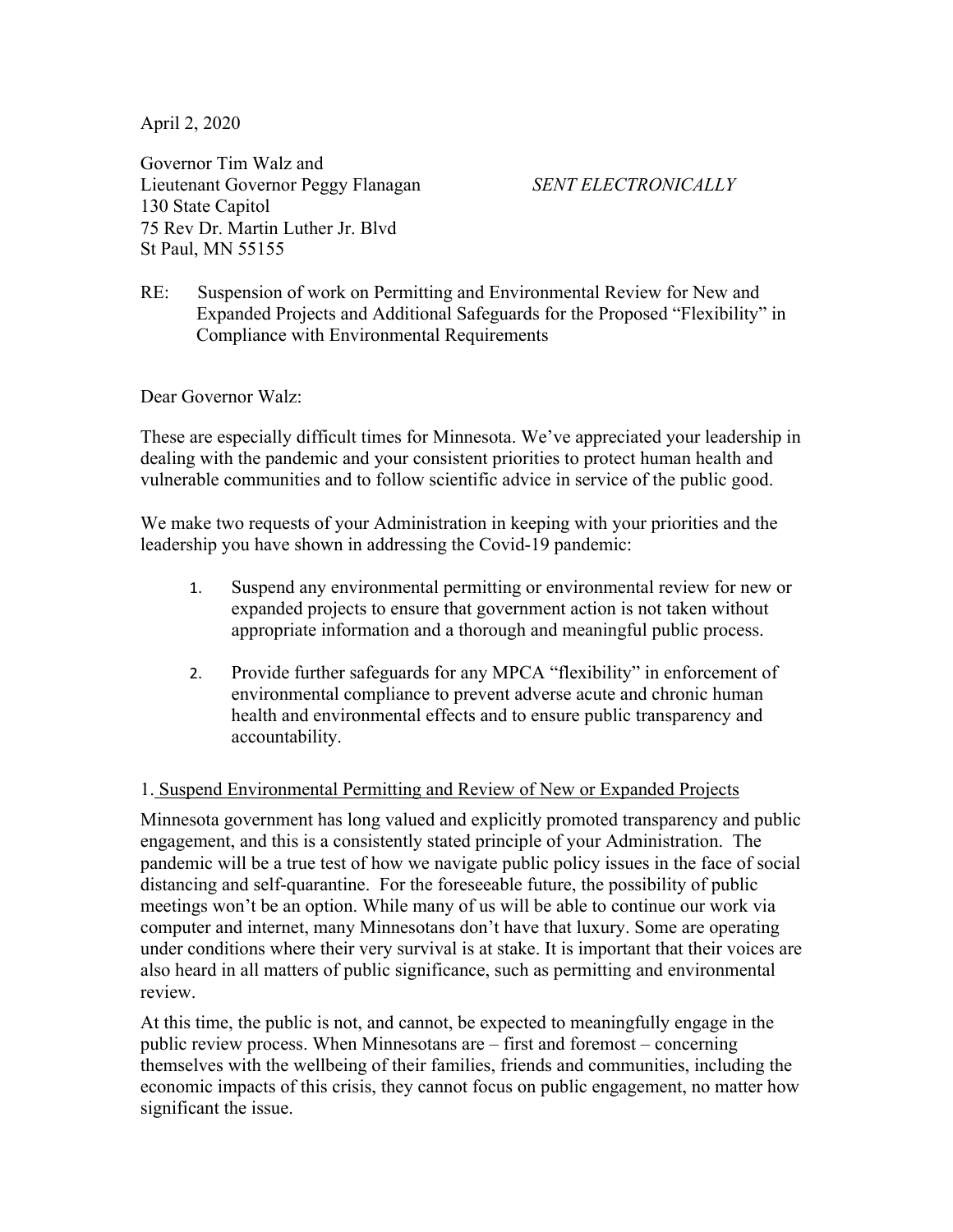April 2, 2020

Governor Tim Walz and Lieutenant Governor Peggy Flanagan *SENT ELECTRONICALLY* 130 State Capitol 75 Rev Dr. Martin Luther Jr. Blvd St Paul, MN 55155

RE: Suspension of work on Permitting and Environmental Review for New and Expanded Projects and Additional Safeguards for the Proposed "Flexibility" in Compliance with Environmental Requirements

Dear Governor Walz:

These are especially difficult times for Minnesota. We've appreciated your leadership in dealing with the pandemic and your consistent priorities to protect human health and vulnerable communities and to follow scientific advice in service of the public good.

We make two requests of your Administration in keeping with your priorities and the leadership you have shown in addressing the Covid-19 pandemic:

- 1. Suspend any environmental permitting or environmental review for new or expanded projects to ensure that government action is not taken without appropriate information and a thorough and meaningful public process.
- 2. Provide further safeguards for any MPCA "flexibility" in enforcement of environmental compliance to prevent adverse acute and chronic human health and environmental effects and to ensure public transparency and accountability.

## 1. Suspend Environmental Permitting and Review of New or Expanded Projects

Minnesota government has long valued and explicitly promoted transparency and public engagement, and this is a consistently stated principle of your Administration. The pandemic will be a true test of how we navigate public policy issues in the face of social distancing and self-quarantine. For the foreseeable future, the possibility of public meetings won't be an option. While many of us will be able to continue our work via computer and internet, many Minnesotans don't have that luxury. Some are operating under conditions where their very survival is at stake. It is important that their voices are also heard in all matters of public significance, such as permitting and environmental review.

At this time, the public is not, and cannot, be expected to meaningfully engage in the public review process. When Minnesotans are – first and foremost – concerning themselves with the wellbeing of their families, friends and communities, including the economic impacts of this crisis, they cannot focus on public engagement, no matter how significant the issue.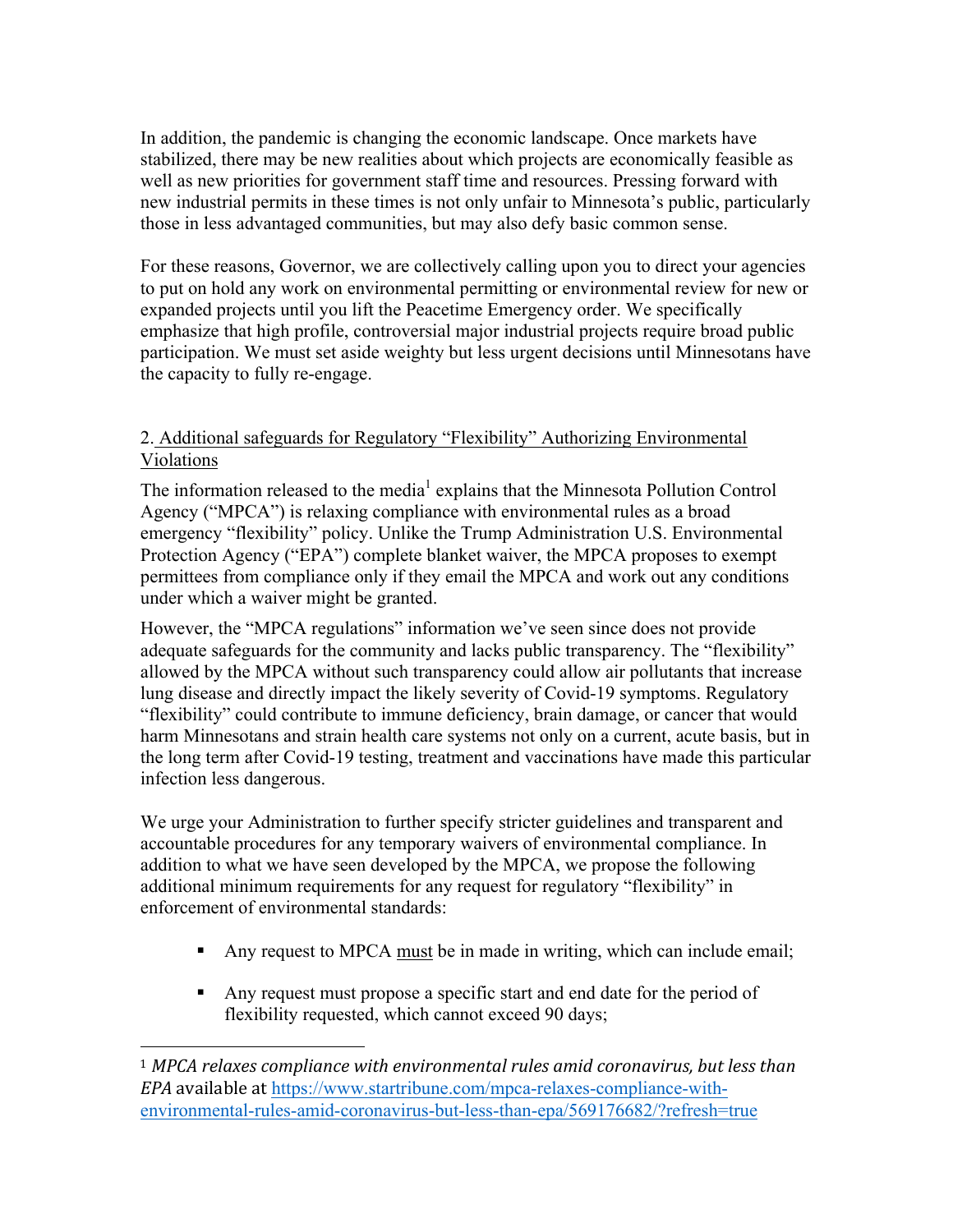In addition, the pandemic is changing the economic landscape. Once markets have stabilized, there may be new realities about which projects are economically feasible as well as new priorities for government staff time and resources. Pressing forward with new industrial permits in these times is not only unfair to Minnesota's public, particularly those in less advantaged communities, but may also defy basic common sense.

For these reasons, Governor, we are collectively calling upon you to direct your agencies to put on hold any work on environmental permitting or environmental review for new or expanded projects until you lift the Peacetime Emergency order. We specifically emphasize that high profile, controversial major industrial projects require broad public participation. We must set aside weighty but less urgent decisions until Minnesotans have the capacity to fully re-engage.

## 2. Additional safeguards for Regulatory "Flexibility" Authorizing Environmental Violations

The information released to the media<sup>1</sup> explains that the Minnesota Pollution Control Agency ("MPCA") is relaxing compliance with environmental rules as a broad emergency "flexibility" policy. Unlike the Trump Administration U.S. Environmental Protection Agency ("EPA") complete blanket waiver, the MPCA proposes to exempt permittees from compliance only if they email the MPCA and work out any conditions under which a waiver might be granted.

However, the "MPCA regulations" information we've seen since does not provide adequate safeguards for the community and lacks public transparency. The "flexibility" allowed by the MPCA without such transparency could allow air pollutants that increase lung disease and directly impact the likely severity of Covid-19 symptoms. Regulatory "flexibility" could contribute to immune deficiency, brain damage, or cancer that would harm Minnesotans and strain health care systems not only on a current, acute basis, but in the long term after Covid-19 testing, treatment and vaccinations have made this particular infection less dangerous.

We urge your Administration to further specify stricter guidelines and transparent and accountable procedures for any temporary waivers of environmental compliance. In addition to what we have seen developed by the MPCA, we propose the following additional minimum requirements for any request for regulatory "flexibility" in enforcement of environmental standards:

- ! Any request to MPCA must be in made in writing, which can include email;
- ! Any request must propose a specific start and end date for the period of flexibility requested, which cannot exceed 90 days;

 

<sup>&</sup>lt;sup>1</sup> MPCA relaxes compliance with environmental rules amid coronavirus, but less than *EPA* available at https://www.startribune.com/mpca-relaxes-compliance-withenvironmental-rules-amid-coronavirus-but-less-than-epa/569176682/?refresh=true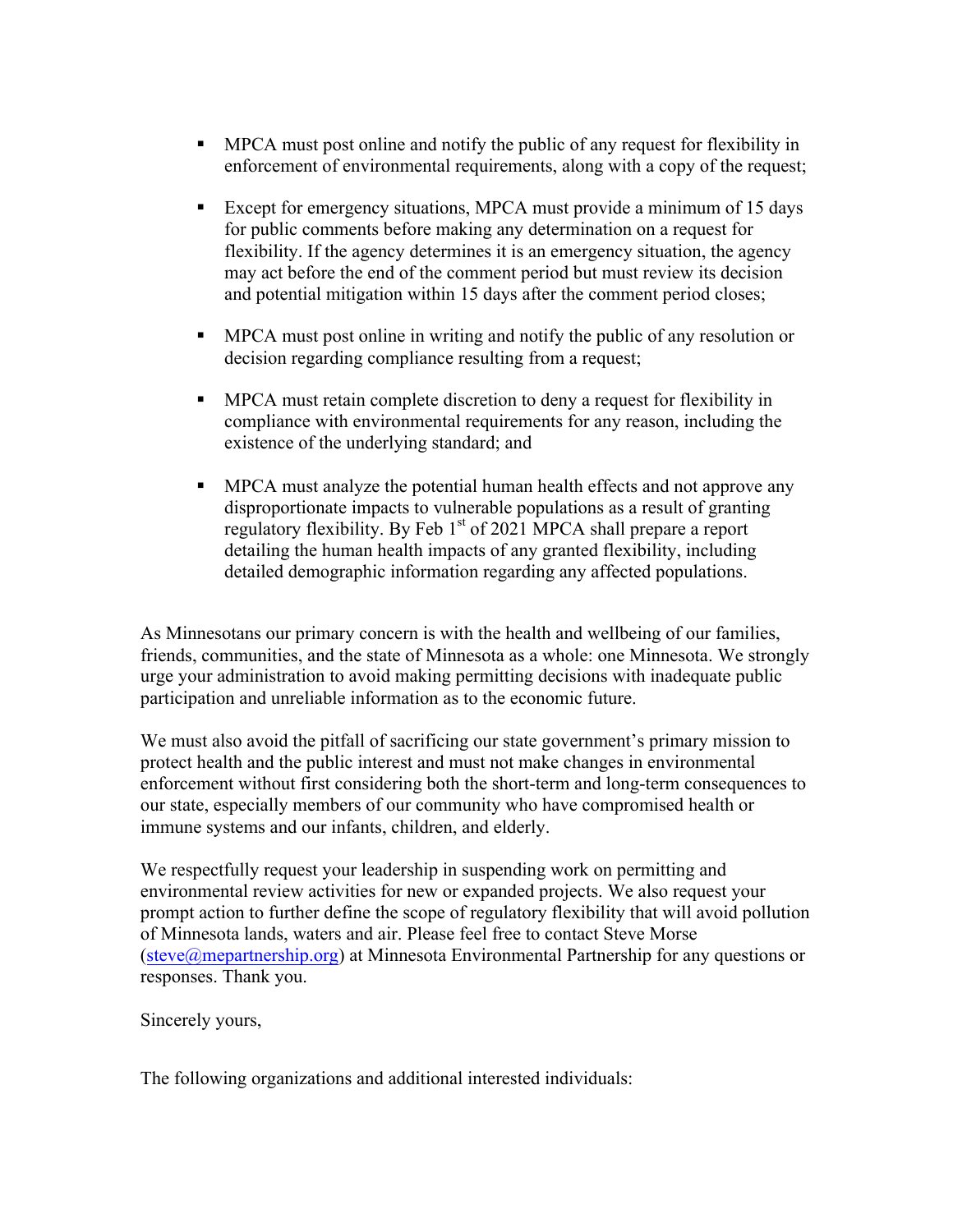- ! MPCA must post online and notify the public of any request for flexibility in enforcement of environmental requirements, along with a copy of the request;
- ! Except for emergency situations, MPCA must provide a minimum of 15 days for public comments before making any determination on a request for flexibility. If the agency determines it is an emergency situation, the agency may act before the end of the comment period but must review its decision and potential mitigation within 15 days after the comment period closes;
- ! MPCA must post online in writing and notify the public of any resolution or decision regarding compliance resulting from a request;
- ! MPCA must retain complete discretion to deny a request for flexibility in compliance with environmental requirements for any reason, including the existence of the underlying standard; and
- ! MPCA must analyze the potential human health effects and not approve any disproportionate impacts to vulnerable populations as a result of granting regulatory flexibility. By Feb 1<sup>st</sup> of 2021 MPCA shall prepare a report detailing the human health impacts of any granted flexibility, including detailed demographic information regarding any affected populations.

As Minnesotans our primary concern is with the health and wellbeing of our families, friends, communities, and the state of Minnesota as a whole: one Minnesota. We strongly urge your administration to avoid making permitting decisions with inadequate public participation and unreliable information as to the economic future.

We must also avoid the pitfall of sacrificing our state government's primary mission to protect health and the public interest and must not make changes in environmental enforcement without first considering both the short-term and long-term consequences to our state, especially members of our community who have compromised health or immune systems and our infants, children, and elderly.

We respectfully request your leadership in suspending work on permitting and environmental review activities for new or expanded projects. We also request your prompt action to further define the scope of regulatory flexibility that will avoid pollution of Minnesota lands, waters and air. Please feel free to contact Steve Morse (steve@mepartnership.org) at Minnesota Environmental Partnership for any questions or responses. Thank you.

Sincerely yours,

The following organizations and additional interested individuals: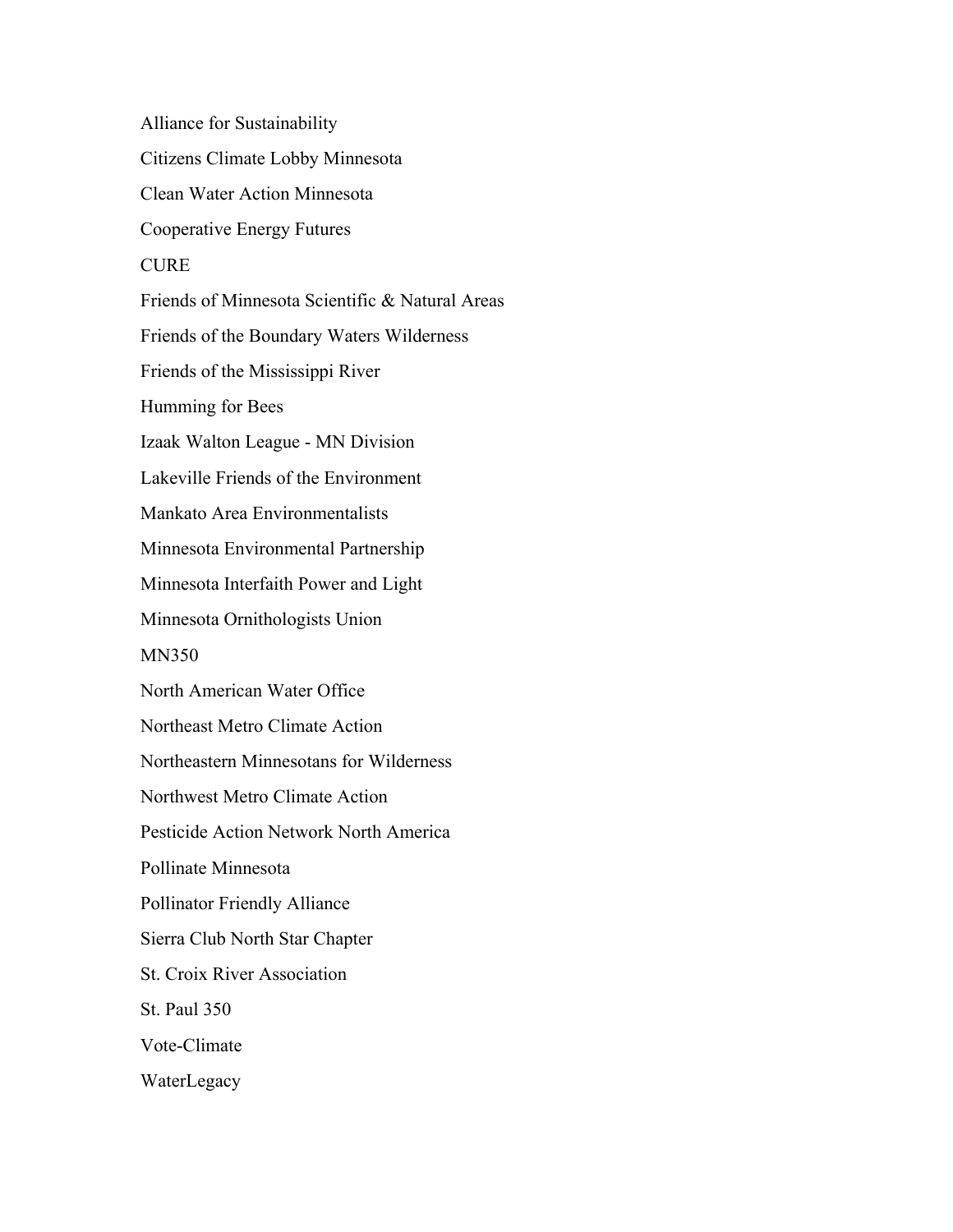Alliance for Sustainability Citizens Climate Lobby Minnesota Clean Water Action Minnesota Cooperative Energy Futures **CURE** Friends of Minnesota Scientific & Natural Areas Friends of the Boundary Waters Wilderness Friends of the Mississippi River Humming for Bees Izaak Walton League - MN Division Lakeville Friends of the Environment Mankato Area Environmentalists Minnesota Environmental Partnership Minnesota Interfaith Power and Light Minnesota Ornithologists Union MN350 North American Water Office Northeast Metro Climate Action Northeastern Minnesotans for Wilderness Northwest Metro Climate Action Pesticide Action Network North America Pollinate Minnesota Pollinator Friendly Alliance Sierra Club North Star Chapter St. Croix River Association St. Paul 350 Vote-Climate WaterLegacy